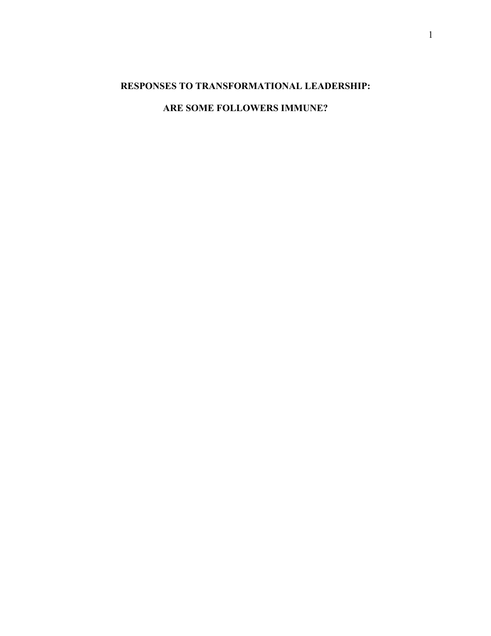# **RESPONSES TO TRANSFORMATIONAL LEADERSHIP:**

# **ARE SOME FOLLOWERS IMMUNE?**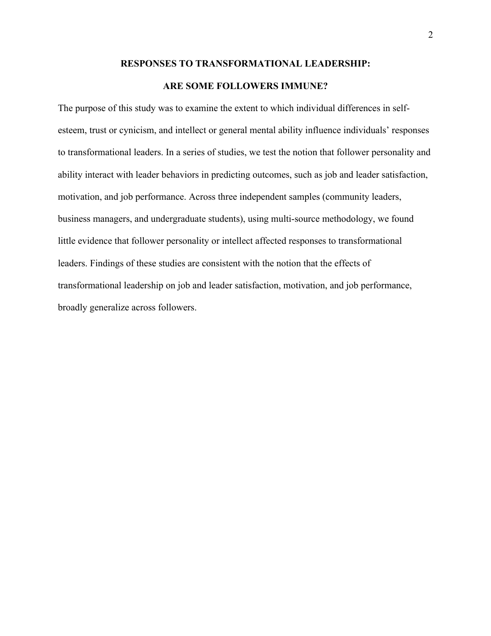## **RESPONSES TO TRANSFORMATIONAL LEADERSHIP:**

## **ARE SOME FOLLOWERS IMMUNE?**

The purpose of this study was to examine the extent to which individual differences in selfesteem, trust or cynicism, and intellect or general mental ability influence individuals' responses to transformational leaders. In a series of studies, we test the notion that follower personality and ability interact with leader behaviors in predicting outcomes, such as job and leader satisfaction, motivation, and job performance. Across three independent samples (community leaders, business managers, and undergraduate students), using multi-source methodology, we found little evidence that follower personality or intellect affected responses to transformational leaders. Findings of these studies are consistent with the notion that the effects of transformational leadership on job and leader satisfaction, motivation, and job performance, broadly generalize across followers.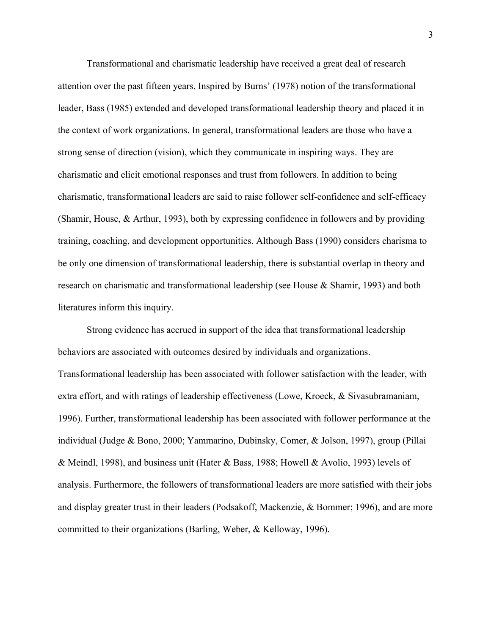Transformational and charismatic leadership have received a great deal of research attention over the past fifteen years. Inspired by Burns' (1978) notion of the transformational leader, Bass (1985) extended and developed transformational leadership theory and placed it in the context of work organizations. In general, transformational leaders are those who have a strong sense of direction (vision), which they communicate in inspiring ways. They are charismatic and elicit emotional responses and trust from followers. In addition to being charismatic, transformational leaders are said to raise follower self-confidence and self-efficacy (Shamir, House, & Arthur, 1993), both by expressing confidence in followers and by providing training, coaching, and development opportunities. Although Bass (1990) considers charisma to be only one dimension of transformational leadership, there is substantial overlap in theory and research on charismatic and transformational leadership (see House & Shamir, 1993) and both literatures inform this inquiry.

Strong evidence has accrued in support of the idea that transformational leadership behaviors are associated with outcomes desired by individuals and organizations. Transformational leadership has been associated with follower satisfaction with the leader, with extra effort, and with ratings of leadership effectiveness (Lowe, Kroeck, & Sivasubramaniam, 1996). Further, transformational leadership has been associated with follower performance at the individual (Judge & Bono, 2000; Yammarino, Dubinsky, Comer, & Jolson, 1997), group (Pillai & Meindl, 1998), and business unit (Hater & Bass, 1988; Howell & Avolio, 1993) levels of analysis. Furthermore, the followers of transformational leaders are more satisfied with their jobs and display greater trust in their leaders (Podsakoff, Mackenzie, & Bommer; 1996), and are more committed to their organizations (Barling, Weber, & Kelloway, 1996).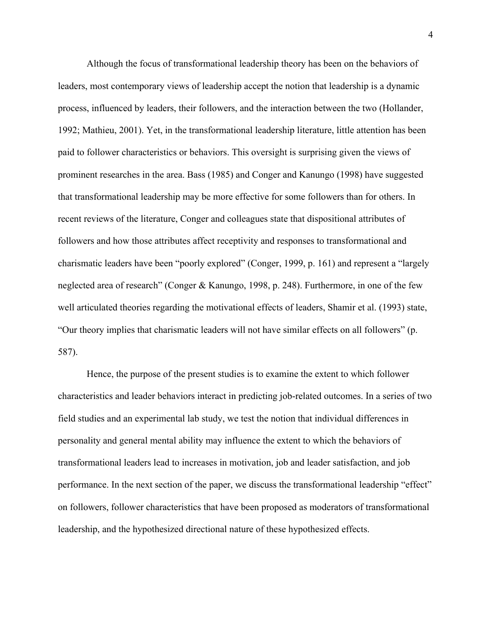Although the focus of transformational leadership theory has been on the behaviors of leaders, most contemporary views of leadership accept the notion that leadership is a dynamic process, influenced by leaders, their followers, and the interaction between the two (Hollander, 1992; Mathieu, 2001). Yet, in the transformational leadership literature, little attention has been paid to follower characteristics or behaviors. This oversight is surprising given the views of prominent researches in the area. Bass (1985) and Conger and Kanungo (1998) have suggested that transformational leadership may be more effective for some followers than for others. In recent reviews of the literature, Conger and colleagues state that dispositional attributes of followers and how those attributes affect receptivity and responses to transformational and charismatic leaders have been "poorly explored" (Conger, 1999, p. 161) and represent a "largely neglected area of research" (Conger & Kanungo, 1998, p. 248). Furthermore, in one of the few well articulated theories regarding the motivational effects of leaders, Shamir et al. (1993) state, "Our theory implies that charismatic leaders will not have similar effects on all followers" (p. 587).

Hence, the purpose of the present studies is to examine the extent to which follower characteristics and leader behaviors interact in predicting job-related outcomes. In a series of two field studies and an experimental lab study, we test the notion that individual differences in personality and general mental ability may influence the extent to which the behaviors of transformational leaders lead to increases in motivation, job and leader satisfaction, and job performance. In the next section of the paper, we discuss the transformational leadership "effect" on followers, follower characteristics that have been proposed as moderators of transformational leadership, and the hypothesized directional nature of these hypothesized effects.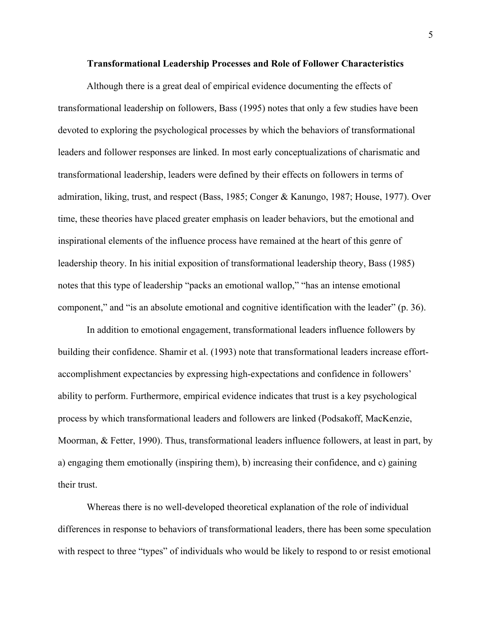## **Transformational Leadership Processes and Role of Follower Characteristics**

Although there is a great deal of empirical evidence documenting the effects of transformational leadership on followers, Bass (1995) notes that only a few studies have been devoted to exploring the psychological processes by which the behaviors of transformational leaders and follower responses are linked. In most early conceptualizations of charismatic and transformational leadership, leaders were defined by their effects on followers in terms of admiration, liking, trust, and respect (Bass, 1985; Conger & Kanungo, 1987; House, 1977). Over time, these theories have placed greater emphasis on leader behaviors, but the emotional and inspirational elements of the influence process have remained at the heart of this genre of leadership theory. In his initial exposition of transformational leadership theory, Bass (1985) notes that this type of leadership "packs an emotional wallop," "has an intense emotional component," and "is an absolute emotional and cognitive identification with the leader" (p. 36).

In addition to emotional engagement, transformational leaders influence followers by building their confidence. Shamir et al. (1993) note that transformational leaders increase effortaccomplishment expectancies by expressing high-expectations and confidence in followers' ability to perform. Furthermore, empirical evidence indicates that trust is a key psychological process by which transformational leaders and followers are linked (Podsakoff, MacKenzie, Moorman, & Fetter, 1990). Thus, transformational leaders influence followers, at least in part, by a) engaging them emotionally (inspiring them), b) increasing their confidence, and c) gaining their trust.

Whereas there is no well-developed theoretical explanation of the role of individual differences in response to behaviors of transformational leaders, there has been some speculation with respect to three "types" of individuals who would be likely to respond to or resist emotional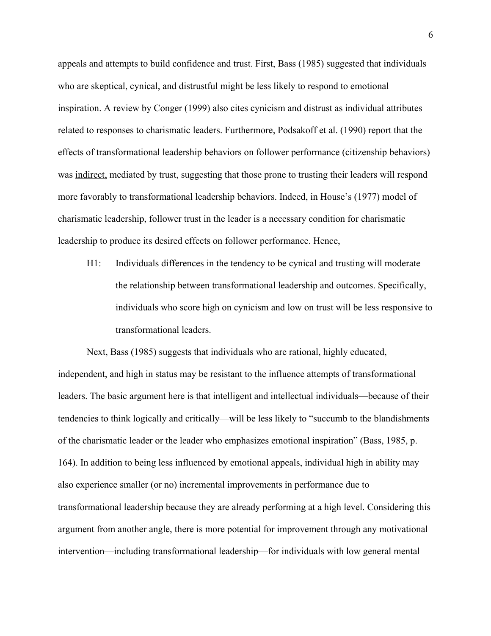appeals and attempts to build confidence and trust. First, Bass (1985) suggested that individuals who are skeptical, cynical, and distrustful might be less likely to respond to emotional inspiration. A review by Conger (1999) also cites cynicism and distrust as individual attributes related to responses to charismatic leaders. Furthermore, Podsakoff et al. (1990) report that the effects of transformational leadership behaviors on follower performance (citizenship behaviors) was indirect, mediated by trust, suggesting that those prone to trusting their leaders will respond more favorably to transformational leadership behaviors. Indeed, in House's (1977) model of charismatic leadership, follower trust in the leader is a necessary condition for charismatic leadership to produce its desired effects on follower performance. Hence,

H1: Individuals differences in the tendency to be cynical and trusting will moderate the relationship between transformational leadership and outcomes. Specifically, individuals who score high on cynicism and low on trust will be less responsive to transformational leaders.

Next, Bass (1985) suggests that individuals who are rational, highly educated, independent, and high in status may be resistant to the influence attempts of transformational leaders. The basic argument here is that intelligent and intellectual individuals—because of their tendencies to think logically and critically—will be less likely to "succumb to the blandishments of the charismatic leader or the leader who emphasizes emotional inspiration" (Bass, 1985, p. 164). In addition to being less influenced by emotional appeals, individual high in ability may also experience smaller (or no) incremental improvements in performance due to transformational leadership because they are already performing at a high level. Considering this argument from another angle, there is more potential for improvement through any motivational intervention—including transformational leadership—for individuals with low general mental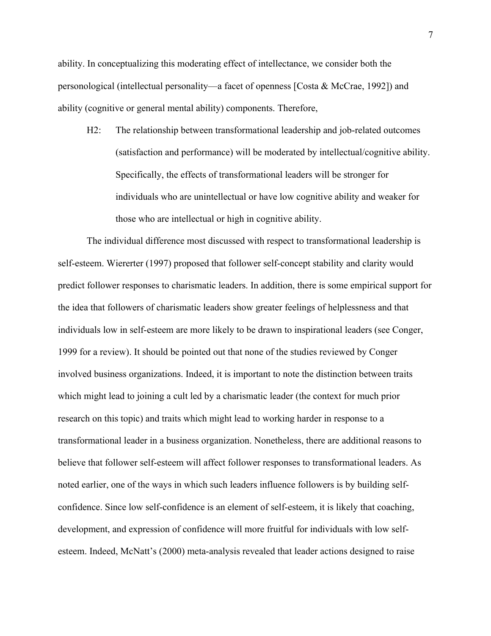ability. In conceptualizing this moderating effect of intellectance, we consider both the personological (intellectual personality—a facet of openness [Costa & McCrae, 1992]) and ability (cognitive or general mental ability) components. Therefore,

H2: The relationship between transformational leadership and job-related outcomes (satisfaction and performance) will be moderated by intellectual/cognitive ability. Specifically, the effects of transformational leaders will be stronger for individuals who are unintellectual or have low cognitive ability and weaker for those who are intellectual or high in cognitive ability.

The individual difference most discussed with respect to transformational leadership is self-esteem. Wiererter (1997) proposed that follower self-concept stability and clarity would predict follower responses to charismatic leaders. In addition, there is some empirical support for the idea that followers of charismatic leaders show greater feelings of helplessness and that individuals low in self-esteem are more likely to be drawn to inspirational leaders (see Conger, 1999 for a review). It should be pointed out that none of the studies reviewed by Conger involved business organizations. Indeed, it is important to note the distinction between traits which might lead to joining a cult led by a charismatic leader (the context for much prior research on this topic) and traits which might lead to working harder in response to a transformational leader in a business organization. Nonetheless, there are additional reasons to believe that follower self-esteem will affect follower responses to transformational leaders. As noted earlier, one of the ways in which such leaders influence followers is by building selfconfidence. Since low self-confidence is an element of self-esteem, it is likely that coaching, development, and expression of confidence will more fruitful for individuals with low selfesteem. Indeed, McNatt's (2000) meta-analysis revealed that leader actions designed to raise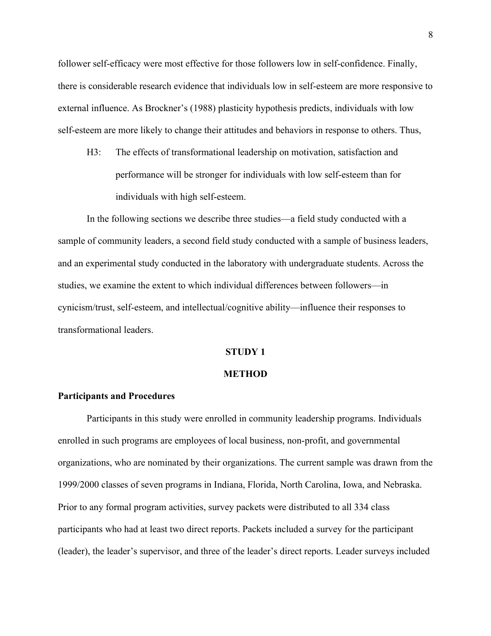follower self-efficacy were most effective for those followers low in self-confidence. Finally, there is considerable research evidence that individuals low in self-esteem are more responsive to external influence. As Brockner's (1988) plasticity hypothesis predicts, individuals with low self-esteem are more likely to change their attitudes and behaviors in response to others. Thus,

H3: The effects of transformational leadership on motivation, satisfaction and performance will be stronger for individuals with low self-esteem than for individuals with high self-esteem.

In the following sections we describe three studies—a field study conducted with a sample of community leaders, a second field study conducted with a sample of business leaders, and an experimental study conducted in the laboratory with undergraduate students. Across the studies, we examine the extent to which individual differences between followers—in cynicism/trust, self-esteem, and intellectual/cognitive ability—influence their responses to transformational leaders.

### **STUDY 1**

### **METHOD**

### **Participants and Procedures**

Participants in this study were enrolled in community leadership programs. Individuals enrolled in such programs are employees of local business, non-profit, and governmental organizations, who are nominated by their organizations. The current sample was drawn from the 1999/2000 classes of seven programs in Indiana, Florida, North Carolina, Iowa, and Nebraska. Prior to any formal program activities, survey packets were distributed to all 334 class participants who had at least two direct reports. Packets included a survey for the participant (leader), the leader's supervisor, and three of the leader's direct reports. Leader surveys included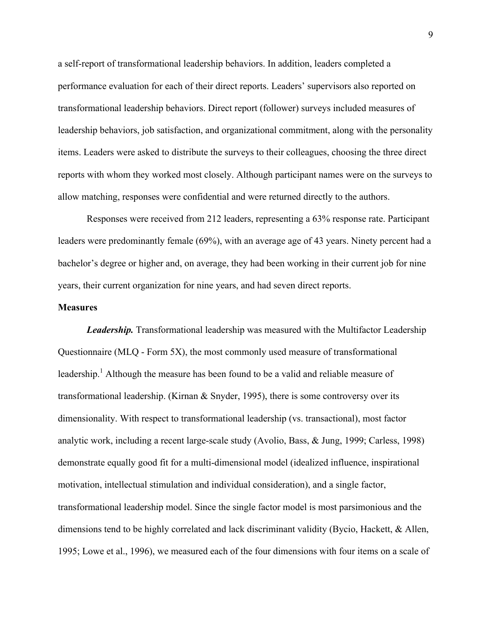a self-report of transformational leadership behaviors. In addition, leaders completed a performance evaluation for each of their direct reports. Leaders' supervisors also reported on transformational leadership behaviors. Direct report (follower) surveys included measures of leadership behaviors, job satisfaction, and organizational commitment, along with the personality items. Leaders were asked to distribute the surveys to their colleagues, choosing the three direct reports with whom they worked most closely. Although participant names were on the surveys to allow matching, responses were confidential and were returned directly to the authors.

Responses were received from 212 leaders, representing a 63% response rate. Participant leaders were predominantly female (69%), with an average age of 43 years. Ninety percent had a bachelor's degree or higher and, on average, they had been working in their current job for nine years, their current organization for nine years, and had seven direct reports.

#### **Measures**

*Leadership.* Transformational leadership was measured with the Multifactor Leadership Questionnaire (MLQ - Form 5X), the most commonly used measure of transformational leadership.<sup>1</sup> Although the measure has been found to be a valid and reliable measure of transformational leadership. (Kirnan & Snyder, 1995), there is some controversy over its dimensionality. With respect to transformational leadership (vs. transactional), most factor analytic work, including a recent large-scale study (Avolio, Bass, & Jung, 1999; Carless, 1998) demonstrate equally good fit for a multi-dimensional model (idealized influence, inspirational motivation, intellectual stimulation and individual consideration), and a single factor, transformational leadership model. Since the single factor model is most parsimonious and the dimensions tend to be highly correlated and lack discriminant validity (Bycio, Hackett, & Allen, 1995; Lowe et al., 1996), we measured each of the four dimensions with four items on a scale of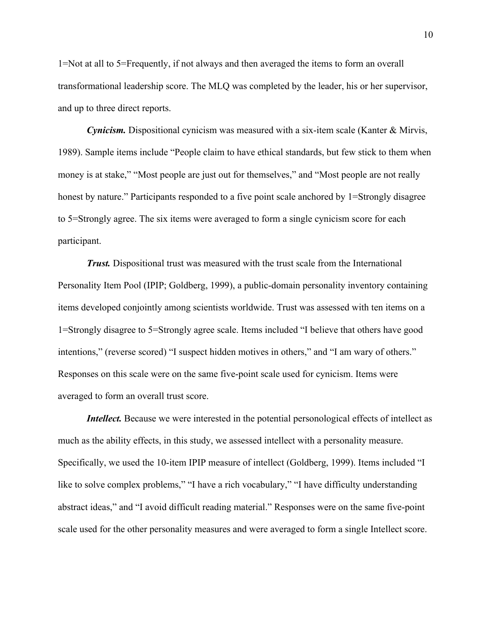1=Not at all to 5=Frequently, if not always and then averaged the items to form an overall transformational leadership score. The MLQ was completed by the leader, his or her supervisor, and up to three direct reports.

*Cynicism.* Dispositional cynicism was measured with a six-item scale (Kanter & Mirvis, 1989). Sample items include "People claim to have ethical standards, but few stick to them when money is at stake," "Most people are just out for themselves," and "Most people are not really honest by nature." Participants responded to a five point scale anchored by 1=Strongly disagree to 5=Strongly agree. The six items were averaged to form a single cynicism score for each participant.

*Trust.* Dispositional trust was measured with the trust scale from the International Personality Item Pool (IPIP; Goldberg, 1999), a public-domain personality inventory containing items developed conjointly among scientists worldwide. Trust was assessed with ten items on a 1=Strongly disagree to 5=Strongly agree scale. Items included "I believe that others have good intentions," (reverse scored) "I suspect hidden motives in others," and "I am wary of others." Responses on this scale were on the same five-point scale used for cynicism. Items were averaged to form an overall trust score.

*Intellect.* Because we were interested in the potential personological effects of intellect as much as the ability effects, in this study, we assessed intellect with a personality measure. Specifically, we used the 10-item IPIP measure of intellect (Goldberg, 1999). Items included "I like to solve complex problems," "I have a rich vocabulary," "I have difficulty understanding abstract ideas," and "I avoid difficult reading material." Responses were on the same five-point scale used for the other personality measures and were averaged to form a single Intellect score.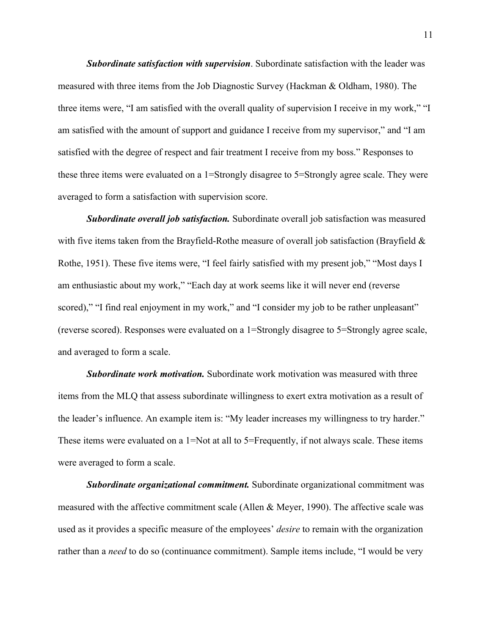*Subordinate satisfaction with supervision*. Subordinate satisfaction with the leader was measured with three items from the Job Diagnostic Survey (Hackman & Oldham, 1980). The three items were, "I am satisfied with the overall quality of supervision I receive in my work," "I am satisfied with the amount of support and guidance I receive from my supervisor," and "I am satisfied with the degree of respect and fair treatment I receive from my boss." Responses to these three items were evaluated on a 1=Strongly disagree to 5=Strongly agree scale. They were averaged to form a satisfaction with supervision score.

*Subordinate overall job satisfaction.* Subordinate overall job satisfaction was measured with five items taken from the Brayfield-Rothe measure of overall job satisfaction (Brayfield  $\&$ Rothe, 1951). These five items were, "I feel fairly satisfied with my present job," "Most days I am enthusiastic about my work," "Each day at work seems like it will never end (reverse scored)," "I find real enjoyment in my work," and "I consider my job to be rather unpleasant" (reverse scored). Responses were evaluated on a 1=Strongly disagree to 5=Strongly agree scale, and averaged to form a scale.

*Subordinate work motivation.* Subordinate work motivation was measured with three items from the MLQ that assess subordinate willingness to exert extra motivation as a result of the leader's influence. An example item is: "My leader increases my willingness to try harder." These items were evaluated on a 1=Not at all to 5=Frequently, if not always scale. These items were averaged to form a scale.

*Subordinate organizational commitment.* Subordinate organizational commitment was measured with the affective commitment scale (Allen & Meyer, 1990). The affective scale was used as it provides a specific measure of the employees' *desire* to remain with the organization rather than a *need* to do so (continuance commitment). Sample items include, "I would be very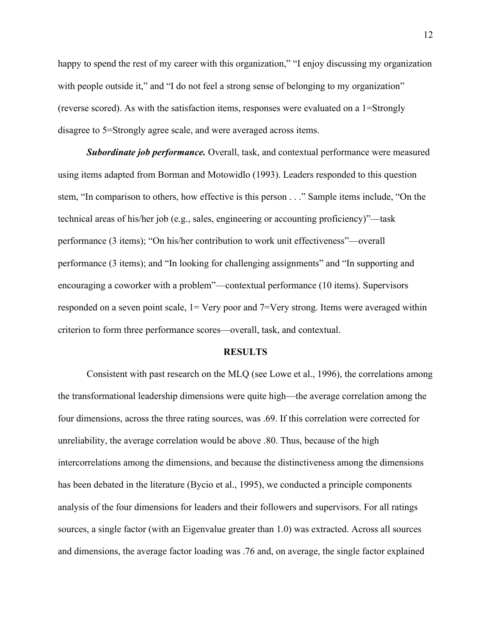happy to spend the rest of my career with this organization," "I enjoy discussing my organization with people outside it," and "I do not feel a strong sense of belonging to my organization" (reverse scored). As with the satisfaction items, responses were evaluated on a 1=Strongly disagree to 5=Strongly agree scale, and were averaged across items.

*Subordinate job performance.* Overall, task, and contextual performance were measured using items adapted from Borman and Motowidlo (1993). Leaders responded to this question stem, "In comparison to others, how effective is this person . . ." Sample items include, "On the technical areas of his/her job (e.g., sales, engineering or accounting proficiency)"—task performance (3 items); "On his/her contribution to work unit effectiveness"—overall performance (3 items); and "In looking for challenging assignments" and "In supporting and encouraging a coworker with a problem"—contextual performance (10 items). Supervisors responded on a seven point scale, 1= Very poor and 7=Very strong. Items were averaged within criterion to form three performance scores—overall, task, and contextual.

#### **RESULTS**

Consistent with past research on the MLQ (see Lowe et al., 1996), the correlations among the transformational leadership dimensions were quite high—the average correlation among the four dimensions, across the three rating sources, was .69. If this correlation were corrected for unreliability, the average correlation would be above .80. Thus, because of the high intercorrelations among the dimensions, and because the distinctiveness among the dimensions has been debated in the literature (Bycio et al., 1995), we conducted a principle components analysis of the four dimensions for leaders and their followers and supervisors. For all ratings sources, a single factor (with an Eigenvalue greater than 1.0) was extracted. Across all sources and dimensions, the average factor loading was .76 and, on average, the single factor explained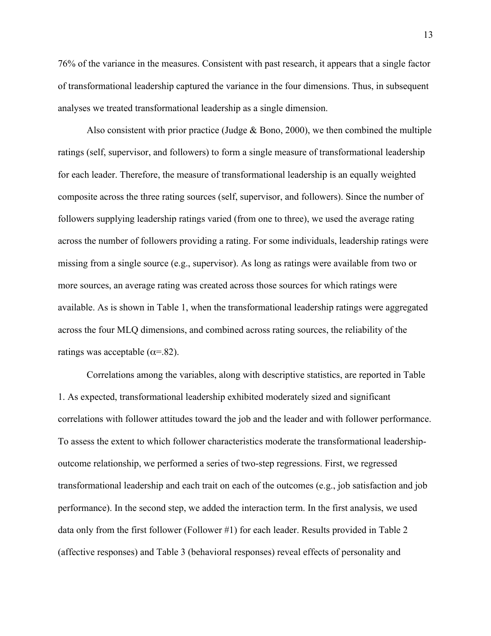76% of the variance in the measures. Consistent with past research, it appears that a single factor of transformational leadership captured the variance in the four dimensions. Thus, in subsequent analyses we treated transformational leadership as a single dimension.

Also consistent with prior practice (Judge  $\&$  Bono, 2000), we then combined the multiple ratings (self, supervisor, and followers) to form a single measure of transformational leadership for each leader. Therefore, the measure of transformational leadership is an equally weighted composite across the three rating sources (self, supervisor, and followers). Since the number of followers supplying leadership ratings varied (from one to three), we used the average rating across the number of followers providing a rating. For some individuals, leadership ratings were missing from a single source (e.g., supervisor). As long as ratings were available from two or more sources, an average rating was created across those sources for which ratings were available. As is shown in Table 1, when the transformational leadership ratings were aggregated across the four MLQ dimensions, and combined across rating sources, the reliability of the ratings was acceptable ( $\alpha$ =.82).

Correlations among the variables, along with descriptive statistics, are reported in Table 1. As expected, transformational leadership exhibited moderately sized and significant correlations with follower attitudes toward the job and the leader and with follower performance. To assess the extent to which follower characteristics moderate the transformational leadershipoutcome relationship, we performed a series of two-step regressions. First, we regressed transformational leadership and each trait on each of the outcomes (e.g., job satisfaction and job performance). In the second step, we added the interaction term. In the first analysis, we used data only from the first follower (Follower #1) for each leader. Results provided in Table 2 (affective responses) and Table 3 (behavioral responses) reveal effects of personality and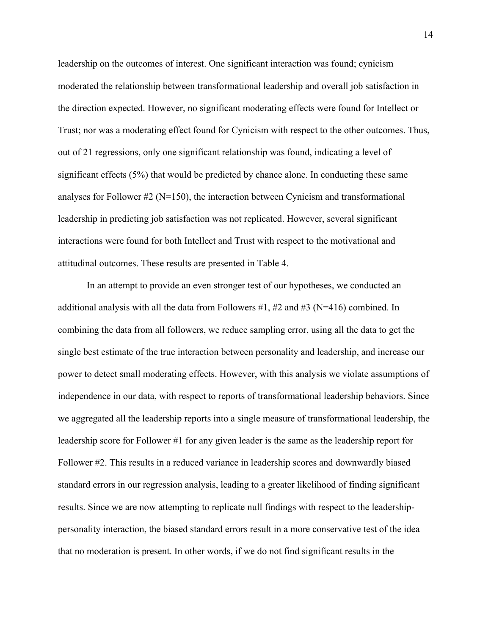leadership on the outcomes of interest. One significant interaction was found; cynicism moderated the relationship between transformational leadership and overall job satisfaction in the direction expected. However, no significant moderating effects were found for Intellect or Trust; nor was a moderating effect found for Cynicism with respect to the other outcomes. Thus, out of 21 regressions, only one significant relationship was found, indicating a level of significant effects (5%) that would be predicted by chance alone. In conducting these same analyses for Follower  $\#2$  (N=150), the interaction between Cynicism and transformational leadership in predicting job satisfaction was not replicated. However, several significant interactions were found for both Intellect and Trust with respect to the motivational and attitudinal outcomes. These results are presented in Table 4.

In an attempt to provide an even stronger test of our hypotheses, we conducted an additional analysis with all the data from Followers  $\#1$ ,  $\#2$  and  $\#3$  (N=416) combined. In combining the data from all followers, we reduce sampling error, using all the data to get the single best estimate of the true interaction between personality and leadership, and increase our power to detect small moderating effects. However, with this analysis we violate assumptions of independence in our data, with respect to reports of transformational leadership behaviors. Since we aggregated all the leadership reports into a single measure of transformational leadership, the leadership score for Follower #1 for any given leader is the same as the leadership report for Follower #2. This results in a reduced variance in leadership scores and downwardly biased standard errors in our regression analysis, leading to a greater likelihood of finding significant results. Since we are now attempting to replicate null findings with respect to the leadershippersonality interaction, the biased standard errors result in a more conservative test of the idea that no moderation is present. In other words, if we do not find significant results in the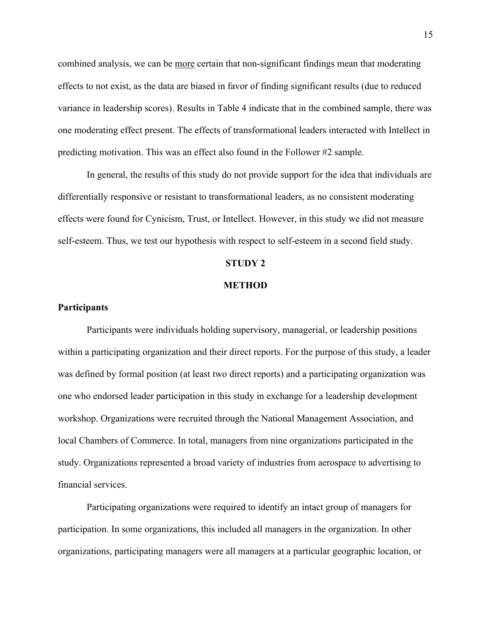combined analysis, we can be more certain that non-significant findings mean that moderating effects to not exist, as the data are biased in favor of finding significant results (due to reduced variance in leadership scores). Results in Table 4 indicate that in the combined sample, there was one moderating effect present. The effects of transformational leaders interacted with Intellect in predicting motivation. This was an effect also found in the Follower #2 sample.

In general, the results of this study do not provide support for the idea that individuals are differentially responsive or resistant to transformational leaders, as no consistent moderating effects were found for Cynicism, Trust, or Intellect. However, in this study we did not measure self-esteem. Thus, we test our hypothesis with respect to self-esteem in a second field study.

#### **STUDY 2**

#### **METHOD**

### **Participants**

Participants were individuals holding supervisory, managerial, or leadership positions within a participating organization and their direct reports. For the purpose of this study, a leader was defined by formal position (at least two direct reports) and a participating organization was one who endorsed leader participation in this study in exchange for a leadership development workshop. Organizations were recruited through the National Management Association, and local Chambers of Commerce. In total, managers from nine organizations participated in the study. Organizations represented a broad variety of industries from aerospace to advertising to financial services.

Participating organizations were required to identify an intact group of managers for participation. In some organizations, this included all managers in the organization. In other organizations, participating managers were all managers at a particular geographic location, or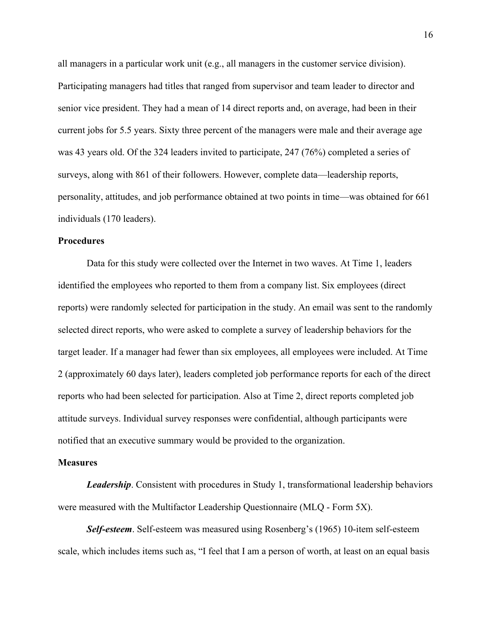all managers in a particular work unit (e.g., all managers in the customer service division). Participating managers had titles that ranged from supervisor and team leader to director and senior vice president. They had a mean of 14 direct reports and, on average, had been in their current jobs for 5.5 years. Sixty three percent of the managers were male and their average age was 43 years old. Of the 324 leaders invited to participate, 247 (76%) completed a series of surveys, along with 861 of their followers. However, complete data—leadership reports, personality, attitudes, and job performance obtained at two points in time—was obtained for 661 individuals (170 leaders).

### **Procedures**

Data for this study were collected over the Internet in two waves. At Time 1, leaders identified the employees who reported to them from a company list. Six employees (direct reports) were randomly selected for participation in the study. An email was sent to the randomly selected direct reports, who were asked to complete a survey of leadership behaviors for the target leader. If a manager had fewer than six employees, all employees were included. At Time 2 (approximately 60 days later), leaders completed job performance reports for each of the direct reports who had been selected for participation. Also at Time 2, direct reports completed job attitude surveys. Individual survey responses were confidential, although participants were notified that an executive summary would be provided to the organization.

#### **Measures**

*Leadership*. Consistent with procedures in Study 1, transformational leadership behaviors were measured with the Multifactor Leadership Questionnaire (MLQ - Form 5X).

*Self-esteem*. Self-esteem was measured using Rosenberg's (1965) 10-item self-esteem scale, which includes items such as, "I feel that I am a person of worth, at least on an equal basis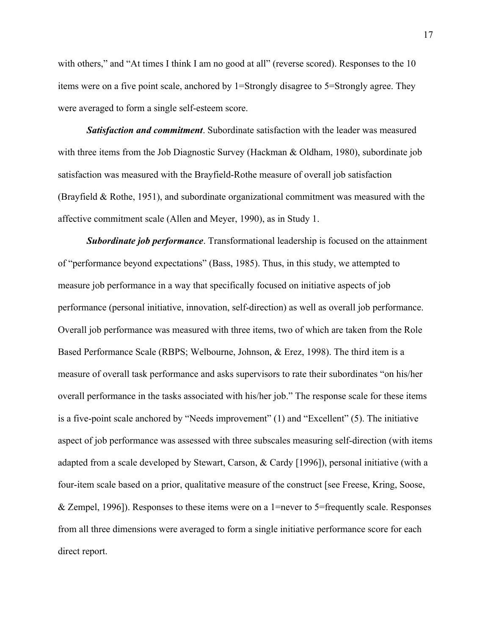with others," and "At times I think I am no good at all" (reverse scored). Responses to the 10 items were on a five point scale, anchored by 1=Strongly disagree to 5=Strongly agree. They were averaged to form a single self-esteem score.

*Satisfaction and commitment*. Subordinate satisfaction with the leader was measured with three items from the Job Diagnostic Survey (Hackman & Oldham, 1980), subordinate job satisfaction was measured with the Brayfield-Rothe measure of overall job satisfaction (Brayfield & Rothe, 1951), and subordinate organizational commitment was measured with the affective commitment scale (Allen and Meyer, 1990), as in Study 1.

*Subordinate job performance*. Transformational leadership is focused on the attainment of "performance beyond expectations" (Bass, 1985). Thus, in this study, we attempted to measure job performance in a way that specifically focused on initiative aspects of job performance (personal initiative, innovation, self-direction) as well as overall job performance. Overall job performance was measured with three items, two of which are taken from the Role Based Performance Scale (RBPS; Welbourne, Johnson, & Erez, 1998). The third item is a measure of overall task performance and asks supervisors to rate their subordinates "on his/her overall performance in the tasks associated with his/her job." The response scale for these items is a five-point scale anchored by "Needs improvement" (1) and "Excellent" (5). The initiative aspect of job performance was assessed with three subscales measuring self-direction (with items adapted from a scale developed by Stewart, Carson, & Cardy [1996]), personal initiative (with a four-item scale based on a prior, qualitative measure of the construct [see Freese, Kring, Soose, & Zempel, 1996]). Responses to these items were on a 1=never to 5=frequently scale. Responses from all three dimensions were averaged to form a single initiative performance score for each direct report.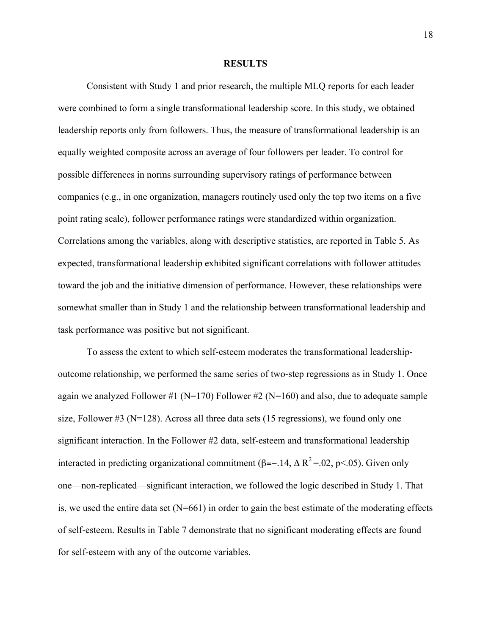#### **RESULTS**

Consistent with Study 1 and prior research, the multiple MLQ reports for each leader were combined to form a single transformational leadership score. In this study, we obtained leadership reports only from followers. Thus, the measure of transformational leadership is an equally weighted composite across an average of four followers per leader. To control for possible differences in norms surrounding supervisory ratings of performance between companies (e.g., in one organization, managers routinely used only the top two items on a five point rating scale), follower performance ratings were standardized within organization. Correlations among the variables, along with descriptive statistics, are reported in Table 5. As expected, transformational leadership exhibited significant correlations with follower attitudes toward the job and the initiative dimension of performance. However, these relationships were somewhat smaller than in Study 1 and the relationship between transformational leadership and task performance was positive but not significant.

To assess the extent to which self-esteem moderates the transformational leadershipoutcome relationship, we performed the same series of two-step regressions as in Study 1. Once again we analyzed Follower #1 ( $N=170$ ) Follower #2 ( $N=160$ ) and also, due to adequate sample size, Follower  $\#3$  (N=128). Across all three data sets (15 regressions), we found only one significant interaction. In the Follower #2 data, self-esteem and transformational leadership interacted in predicting organizational commitment ( $\beta$ =-.14,  $\Delta R^2$ =.02, p<.05). Given only one—non-replicated—significant interaction, we followed the logic described in Study 1. That is, we used the entire data set (N=661) in order to gain the best estimate of the moderating effects of self-esteem. Results in Table 7 demonstrate that no significant moderating effects are found for self-esteem with any of the outcome variables.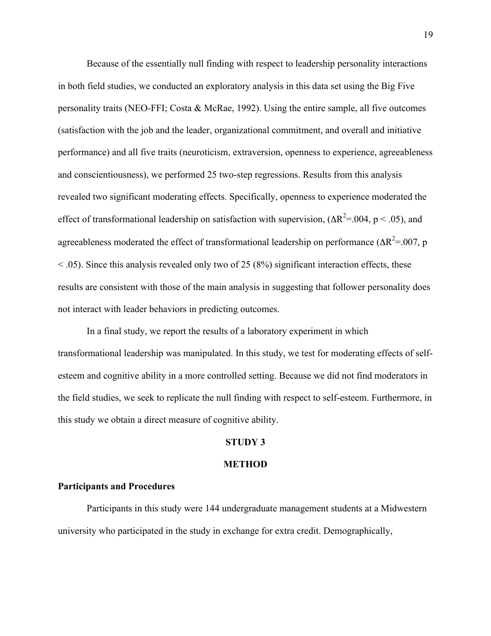Because of the essentially null finding with respect to leadership personality interactions in both field studies, we conducted an exploratory analysis in this data set using the Big Five personality traits (NEO-FFI; Costa & McRae, 1992). Using the entire sample, all five outcomes (satisfaction with the job and the leader, organizational commitment, and overall and initiative performance) and all five traits (neuroticism, extraversion, openness to experience, agreeableness and conscientiousness), we performed 25 two-step regressions. Results from this analysis revealed two significant moderating effects. Specifically, openness to experience moderated the effect of transformational leadership on satisfaction with supervision,  $(\Delta R^2 = 0.04, p < .05)$ , and agreeableness moderated the effect of transformational leadership on performance ( $\Delta R^2 = 0.07$ , p  $\leq$  .05). Since this analysis revealed only two of 25 (8%) significant interaction effects, these results are consistent with those of the main analysis in suggesting that follower personality does not interact with leader behaviors in predicting outcomes.

In a final study, we report the results of a laboratory experiment in which transformational leadership was manipulated. In this study, we test for moderating effects of selfesteem and cognitive ability in a more controlled setting. Because we did not find moderators in the field studies, we seek to replicate the null finding with respect to self-esteem. Furthermore, in this study we obtain a direct measure of cognitive ability.

## **STUDY 3**

#### **METHOD**

## **Participants and Procedures**

Participants in this study were 144 undergraduate management students at a Midwestern university who participated in the study in exchange for extra credit. Demographically,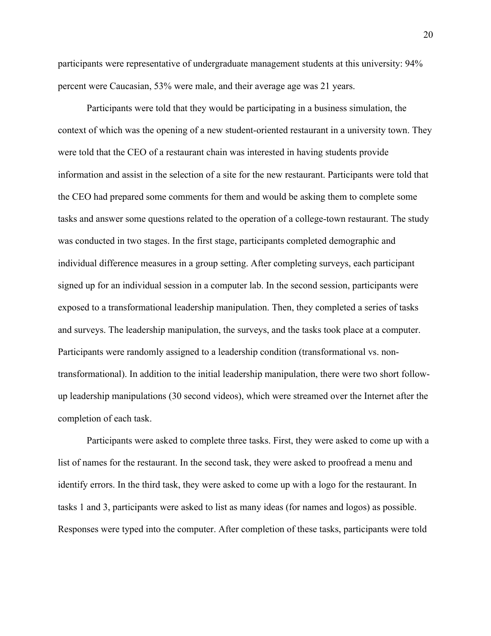participants were representative of undergraduate management students at this university: 94% percent were Caucasian, 53% were male, and their average age was 21 years.

Participants were told that they would be participating in a business simulation, the context of which was the opening of a new student-oriented restaurant in a university town. They were told that the CEO of a restaurant chain was interested in having students provide information and assist in the selection of a site for the new restaurant. Participants were told that the CEO had prepared some comments for them and would be asking them to complete some tasks and answer some questions related to the operation of a college-town restaurant. The study was conducted in two stages. In the first stage, participants completed demographic and individual difference measures in a group setting. After completing surveys, each participant signed up for an individual session in a computer lab. In the second session, participants were exposed to a transformational leadership manipulation. Then, they completed a series of tasks and surveys. The leadership manipulation, the surveys, and the tasks took place at a computer. Participants were randomly assigned to a leadership condition (transformational vs. nontransformational). In addition to the initial leadership manipulation, there were two short followup leadership manipulations (30 second videos), which were streamed over the Internet after the completion of each task.

Participants were asked to complete three tasks. First, they were asked to come up with a list of names for the restaurant. In the second task, they were asked to proofread a menu and identify errors. In the third task, they were asked to come up with a logo for the restaurant. In tasks 1 and 3, participants were asked to list as many ideas (for names and logos) as possible. Responses were typed into the computer. After completion of these tasks, participants were told

20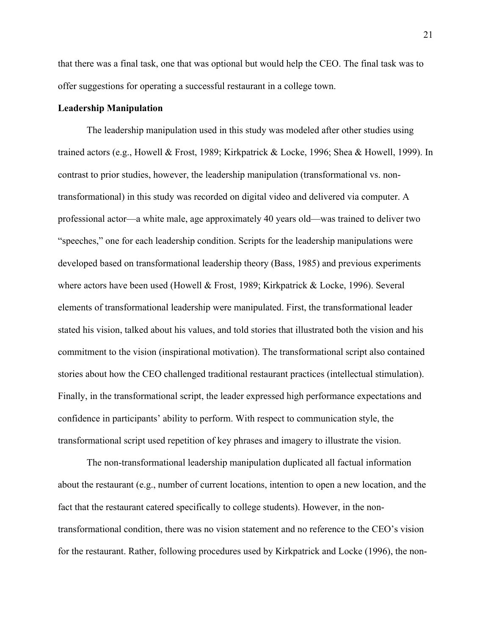that there was a final task, one that was optional but would help the CEO. The final task was to offer suggestions for operating a successful restaurant in a college town.

### **Leadership Manipulation**

The leadership manipulation used in this study was modeled after other studies using trained actors (e.g., Howell & Frost, 1989; Kirkpatrick & Locke, 1996; Shea & Howell, 1999). In contrast to prior studies, however, the leadership manipulation (transformational vs. nontransformational) in this study was recorded on digital video and delivered via computer. A professional actor—a white male, age approximately 40 years old—was trained to deliver two "speeches," one for each leadership condition. Scripts for the leadership manipulations were developed based on transformational leadership theory (Bass, 1985) and previous experiments where actors have been used (Howell & Frost, 1989; Kirkpatrick & Locke, 1996). Several elements of transformational leadership were manipulated. First, the transformational leader stated his vision, talked about his values, and told stories that illustrated both the vision and his commitment to the vision (inspirational motivation). The transformational script also contained stories about how the CEO challenged traditional restaurant practices (intellectual stimulation). Finally, in the transformational script, the leader expressed high performance expectations and confidence in participants' ability to perform. With respect to communication style, the transformational script used repetition of key phrases and imagery to illustrate the vision.

The non-transformational leadership manipulation duplicated all factual information about the restaurant (e.g., number of current locations, intention to open a new location, and the fact that the restaurant catered specifically to college students). However, in the nontransformational condition, there was no vision statement and no reference to the CEO's vision for the restaurant. Rather, following procedures used by Kirkpatrick and Locke (1996), the non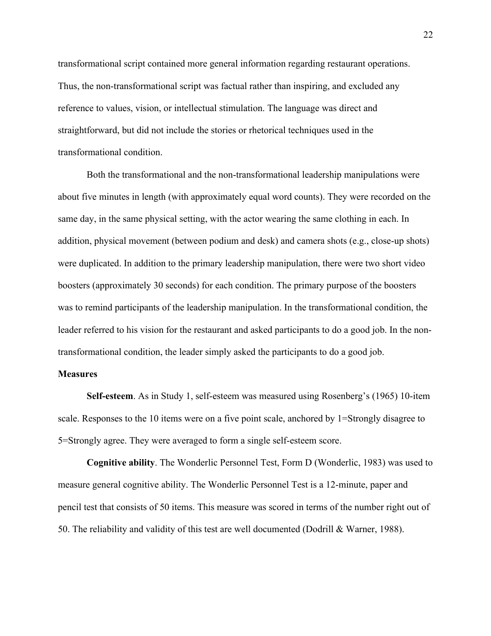transformational script contained more general information regarding restaurant operations. Thus, the non-transformational script was factual rather than inspiring, and excluded any reference to values, vision, or intellectual stimulation. The language was direct and straightforward, but did not include the stories or rhetorical techniques used in the transformational condition.

Both the transformational and the non-transformational leadership manipulations were about five minutes in length (with approximately equal word counts). They were recorded on the same day, in the same physical setting, with the actor wearing the same clothing in each. In addition, physical movement (between podium and desk) and camera shots (e.g., close-up shots) were duplicated. In addition to the primary leadership manipulation, there were two short video boosters (approximately 30 seconds) for each condition. The primary purpose of the boosters was to remind participants of the leadership manipulation. In the transformational condition, the leader referred to his vision for the restaurant and asked participants to do a good job. In the nontransformational condition, the leader simply asked the participants to do a good job.

### **Measures**

**Self-esteem**. As in Study 1, self-esteem was measured using Rosenberg's (1965) 10-item scale. Responses to the 10 items were on a five point scale, anchored by 1=Strongly disagree to 5=Strongly agree. They were averaged to form a single self-esteem score.

**Cognitive ability**. The Wonderlic Personnel Test, Form D (Wonderlic, 1983) was used to measure general cognitive ability. The Wonderlic Personnel Test is a 12-minute, paper and pencil test that consists of 50 items. This measure was scored in terms of the number right out of 50. The reliability and validity of this test are well documented (Dodrill & Warner, 1988).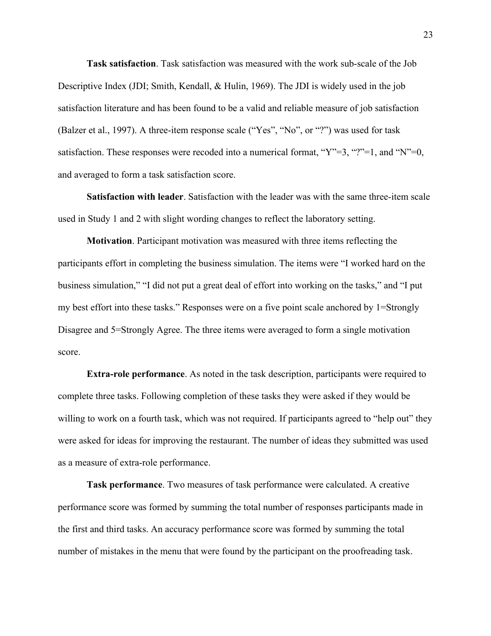**Task satisfaction**. Task satisfaction was measured with the work sub-scale of the Job Descriptive Index (JDI; Smith, Kendall, & Hulin, 1969). The JDI is widely used in the job satisfaction literature and has been found to be a valid and reliable measure of job satisfaction (Balzer et al., 1997). A three-item response scale ("Yes", "No", or "?") was used for task satisfaction. These responses were recoded into a numerical format, " $Y''=3$ , "?"=1, and "N"=0, and averaged to form a task satisfaction score.

**Satisfaction with leader**. Satisfaction with the leader was with the same three-item scale used in Study 1 and 2 with slight wording changes to reflect the laboratory setting.

**Motivation**. Participant motivation was measured with three items reflecting the participants effort in completing the business simulation. The items were "I worked hard on the business simulation," "I did not put a great deal of effort into working on the tasks," and "I put my best effort into these tasks." Responses were on a five point scale anchored by 1=Strongly Disagree and 5=Strongly Agree. The three items were averaged to form a single motivation score.

**Extra-role performance**. As noted in the task description, participants were required to complete three tasks. Following completion of these tasks they were asked if they would be willing to work on a fourth task, which was not required. If participants agreed to "help out" they were asked for ideas for improving the restaurant. The number of ideas they submitted was used as a measure of extra-role performance.

**Task performance**. Two measures of task performance were calculated. A creative performance score was formed by summing the total number of responses participants made in the first and third tasks. An accuracy performance score was formed by summing the total number of mistakes in the menu that were found by the participant on the proofreading task.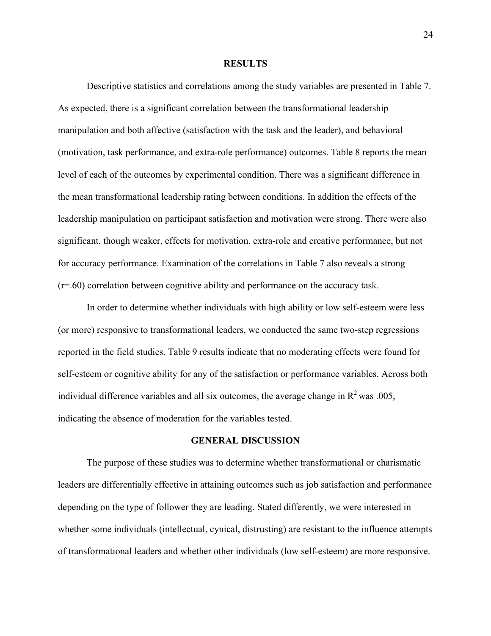#### **RESULTS**

Descriptive statistics and correlations among the study variables are presented in Table 7. As expected, there is a significant correlation between the transformational leadership manipulation and both affective (satisfaction with the task and the leader), and behavioral (motivation, task performance, and extra-role performance) outcomes. Table 8 reports the mean level of each of the outcomes by experimental condition. There was a significant difference in the mean transformational leadership rating between conditions. In addition the effects of the leadership manipulation on participant satisfaction and motivation were strong. There were also significant, though weaker, effects for motivation, extra-role and creative performance, but not for accuracy performance. Examination of the correlations in Table 7 also reveals a strong (r=.60) correlation between cognitive ability and performance on the accuracy task.

In order to determine whether individuals with high ability or low self-esteem were less (or more) responsive to transformational leaders, we conducted the same two-step regressions reported in the field studies. Table 9 results indicate that no moderating effects were found for self-esteem or cognitive ability for any of the satisfaction or performance variables. Across both individual difference variables and all six outcomes, the average change in  $R^2$  was .005, indicating the absence of moderation for the variables tested.

### **GENERAL DISCUSSION**

The purpose of these studies was to determine whether transformational or charismatic leaders are differentially effective in attaining outcomes such as job satisfaction and performance depending on the type of follower they are leading. Stated differently, we were interested in whether some individuals (intellectual, cynical, distrusting) are resistant to the influence attempts of transformational leaders and whether other individuals (low self-esteem) are more responsive.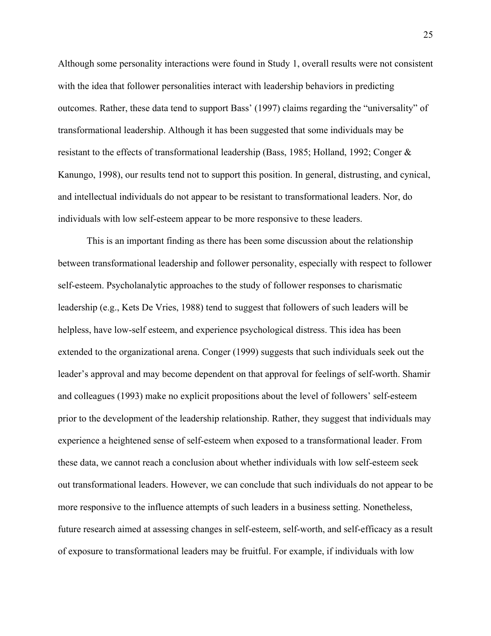Although some personality interactions were found in Study 1, overall results were not consistent with the idea that follower personalities interact with leadership behaviors in predicting outcomes. Rather, these data tend to support Bass' (1997) claims regarding the "universality" of transformational leadership. Although it has been suggested that some individuals may be resistant to the effects of transformational leadership (Bass, 1985; Holland, 1992; Conger & Kanungo, 1998), our results tend not to support this position. In general, distrusting, and cynical, and intellectual individuals do not appear to be resistant to transformational leaders. Nor, do individuals with low self-esteem appear to be more responsive to these leaders.

This is an important finding as there has been some discussion about the relationship between transformational leadership and follower personality, especially with respect to follower self-esteem. Psycholanalytic approaches to the study of follower responses to charismatic leadership (e.g., Kets De Vries, 1988) tend to suggest that followers of such leaders will be helpless, have low-self esteem, and experience psychological distress. This idea has been extended to the organizational arena. Conger (1999) suggests that such individuals seek out the leader's approval and may become dependent on that approval for feelings of self-worth. Shamir and colleagues (1993) make no explicit propositions about the level of followers' self-esteem prior to the development of the leadership relationship. Rather, they suggest that individuals may experience a heightened sense of self-esteem when exposed to a transformational leader. From these data, we cannot reach a conclusion about whether individuals with low self-esteem seek out transformational leaders. However, we can conclude that such individuals do not appear to be more responsive to the influence attempts of such leaders in a business setting. Nonetheless, future research aimed at assessing changes in self-esteem, self-worth, and self-efficacy as a result of exposure to transformational leaders may be fruitful. For example, if individuals with low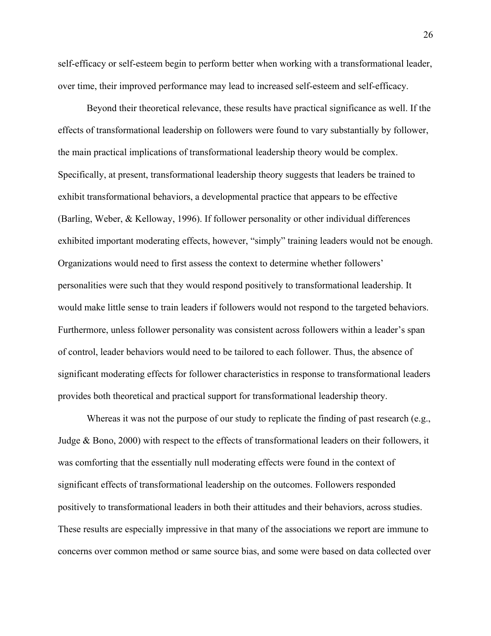self-efficacy or self-esteem begin to perform better when working with a transformational leader, over time, their improved performance may lead to increased self-esteem and self-efficacy.

Beyond their theoretical relevance, these results have practical significance as well. If the effects of transformational leadership on followers were found to vary substantially by follower, the main practical implications of transformational leadership theory would be complex. Specifically, at present, transformational leadership theory suggests that leaders be trained to exhibit transformational behaviors, a developmental practice that appears to be effective (Barling, Weber, & Kelloway, 1996). If follower personality or other individual differences exhibited important moderating effects, however, "simply" training leaders would not be enough. Organizations would need to first assess the context to determine whether followers' personalities were such that they would respond positively to transformational leadership. It would make little sense to train leaders if followers would not respond to the targeted behaviors. Furthermore, unless follower personality was consistent across followers within a leader's span of control, leader behaviors would need to be tailored to each follower. Thus, the absence of significant moderating effects for follower characteristics in response to transformational leaders provides both theoretical and practical support for transformational leadership theory.

Whereas it was not the purpose of our study to replicate the finding of past research (e.g., Judge & Bono, 2000) with respect to the effects of transformational leaders on their followers, it was comforting that the essentially null moderating effects were found in the context of significant effects of transformational leadership on the outcomes. Followers responded positively to transformational leaders in both their attitudes and their behaviors, across studies. These results are especially impressive in that many of the associations we report are immune to concerns over common method or same source bias, and some were based on data collected over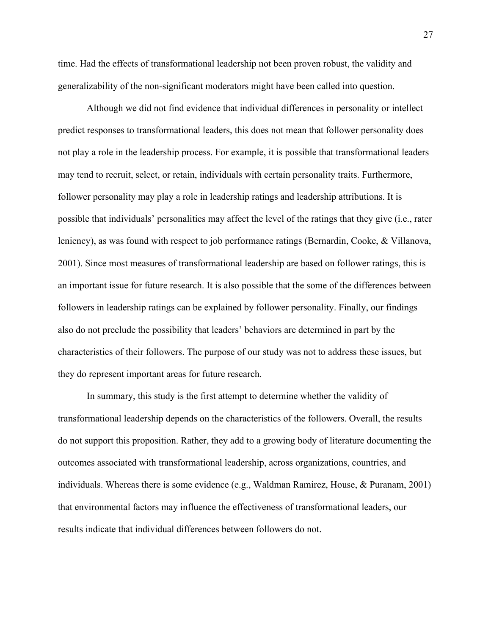time. Had the effects of transformational leadership not been proven robust, the validity and generalizability of the non-significant moderators might have been called into question.

Although we did not find evidence that individual differences in personality or intellect predict responses to transformational leaders, this does not mean that follower personality does not play a role in the leadership process. For example, it is possible that transformational leaders may tend to recruit, select, or retain, individuals with certain personality traits. Furthermore, follower personality may play a role in leadership ratings and leadership attributions. It is possible that individuals' personalities may affect the level of the ratings that they give (i.e., rater leniency), as was found with respect to job performance ratings (Bernardin, Cooke, & Villanova, 2001). Since most measures of transformational leadership are based on follower ratings, this is an important issue for future research. It is also possible that the some of the differences between followers in leadership ratings can be explained by follower personality. Finally, our findings also do not preclude the possibility that leaders' behaviors are determined in part by the characteristics of their followers. The purpose of our study was not to address these issues, but they do represent important areas for future research.

In summary, this study is the first attempt to determine whether the validity of transformational leadership depends on the characteristics of the followers. Overall, the results do not support this proposition. Rather, they add to a growing body of literature documenting the outcomes associated with transformational leadership, across organizations, countries, and individuals. Whereas there is some evidence (e.g., Waldman Ramirez, House, & Puranam, 2001) that environmental factors may influence the effectiveness of transformational leaders, our results indicate that individual differences between followers do not.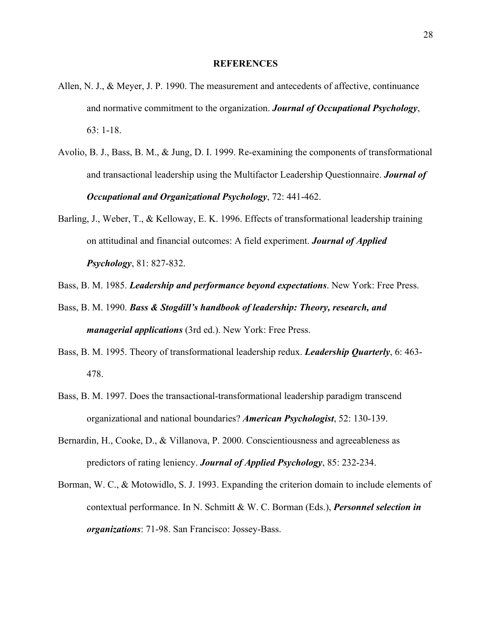#### **REFERENCES**

- Allen, N. J., & Meyer, J. P. 1990. The measurement and antecedents of affective, continuance and normative commitment to the organization. *Journal of Occupational Psychology*, 63: 1-18.
- Avolio, B. J., Bass, B. M., & Jung, D. I. 1999. Re-examining the components of transformational and transactional leadership using the Multifactor Leadership Questionnaire. *Journal of Occupational and Organizational Psychology*, 72: 441-462.
- Barling, J., Weber, T., & Kelloway, E. K. 1996. Effects of transformational leadership training on attitudinal and financial outcomes: A field experiment. *Journal of Applied Psychology*, 81: 827-832.
- Bass, B. M. 1985. *Leadership and performance beyond expectations*. New York: Free Press.
- Bass, B. M. 1990. *Bass & Stogdill's handbook of leadership: Theory, research, and managerial applications* (3rd ed.). New York: Free Press.
- Bass, B. M. 1995. Theory of transformational leadership redux. *Leadership Quarterly*, 6: 463- 478.
- Bass, B. M. 1997. Does the transactional-transformational leadership paradigm transcend organizational and national boundaries? *American Psychologist*, 52: 130-139.
- Bernardin, H., Cooke, D., & Villanova, P. 2000. Conscientiousness and agreeableness as predictors of rating leniency. *Journal of Applied Psychology*, 85: 232-234.
- Borman, W. C., & Motowidlo, S. J. 1993. Expanding the criterion domain to include elements of contextual performance. In N. Schmitt & W. C. Borman (Eds.), *Personnel selection in organizations*: 71-98. San Francisco: Jossey-Bass.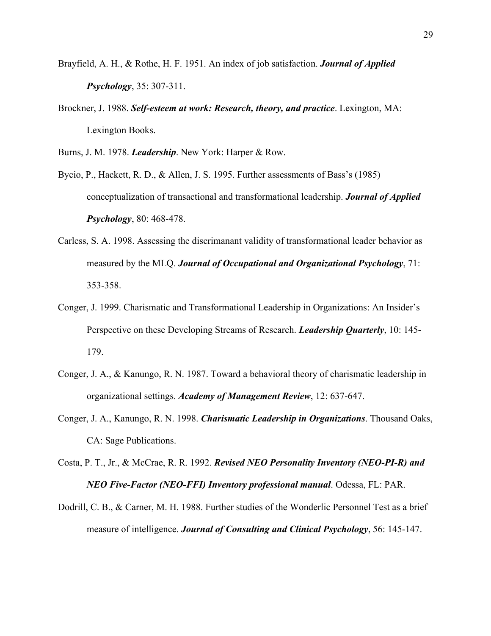- Brayfield, A. H., & Rothe, H. F. 1951. An index of job satisfaction. *Journal of Applied Psychology*, 35: 307-311.
- Brockner, J. 1988. *Self-esteem at work: Research, theory, and practice*. Lexington, MA: Lexington Books.
- Burns, J. M. 1978. *Leadership*. New York: Harper & Row.
- Bycio, P., Hackett, R. D., & Allen, J. S. 1995. Further assessments of Bass's (1985) conceptualization of transactional and transformational leadership. *Journal of Applied Psychology*, 80: 468-478.
- Carless, S. A. 1998. Assessing the discrimanant validity of transformational leader behavior as measured by the MLQ. *Journal of Occupational and Organizational Psychology*, 71: 353-358.
- Conger, J. 1999. Charismatic and Transformational Leadership in Organizations: An Insider's Perspective on these Developing Streams of Research. *Leadership Quarterly*, 10: 145- 179.
- Conger, J. A., & Kanungo, R. N. 1987. Toward a behavioral theory of charismatic leadership in organizational settings. *Academy of Management Review*, 12: 637-647.
- Conger, J. A., Kanungo, R. N. 1998. *Charismatic Leadership in Organizations*. Thousand Oaks, CA: Sage Publications.
- Costa, P. T., Jr., & McCrae, R. R. 1992. *Revised NEO Personality Inventory (NEO-PI-R) and NEO Five-Factor (NEO-FFI) Inventory professional manual*. Odessa, FL: PAR.
- Dodrill, C. B., & Carner, M. H. 1988. Further studies of the Wonderlic Personnel Test as a brief measure of intelligence. *Journal of Consulting and Clinical Psychology*, 56: 145-147.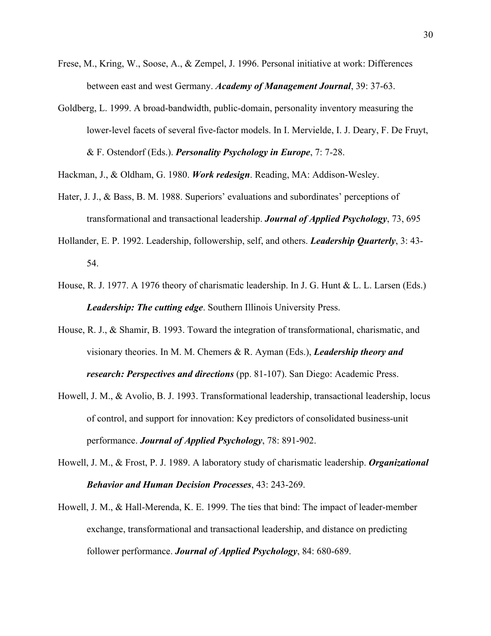- Frese, M., Kring, W., Soose, A., & Zempel, J. 1996. Personal initiative at work: Differences between east and west Germany. *Academy of Management Journal*, 39: 37-63.
- Goldberg, L. 1999. A broad-bandwidth, public-domain, personality inventory measuring the lower-level facets of several five-factor models. In I. Mervielde, I. J. Deary, F. De Fruyt, & F. Ostendorf (Eds.). *Personality Psychology in Europe*, 7: 7-28.

Hackman, J., & Oldham, G. 1980. *Work redesign*. Reading, MA: Addison-Wesley.

- Hater, J. J., & Bass, B. M. 1988. Superiors' evaluations and subordinates' perceptions of transformational and transactional leadership. *Journal of Applied Psychology*, 73, 695
- Hollander, E. P. 1992. Leadership, followership, self, and others. *Leadership Quarterly*, 3: 43- 54.
- House, R. J. 1977. A 1976 theory of charismatic leadership. In J. G. Hunt & L. L. Larsen (Eds.) *Leadership: The cutting edge*. Southern Illinois University Press.
- House, R. J., & Shamir, B. 1993. Toward the integration of transformational, charismatic, and visionary theories. In M. M. Chemers & R. Ayman (Eds.), *Leadership theory and research: Perspectives and directions* (pp. 81-107). San Diego: Academic Press.
- Howell, J. M., & Avolio, B. J. 1993. Transformational leadership, transactional leadership, locus of control, and support for innovation: Key predictors of consolidated business-unit performance. *Journal of Applied Psychology*, 78: 891-902.
- Howell, J. M., & Frost, P. J. 1989. A laboratory study of charismatic leadership. *Organizational Behavior and Human Decision Processes*, 43: 243-269.
- Howell, J. M., & Hall-Merenda, K. E. 1999. The ties that bind: The impact of leader-member exchange, transformational and transactional leadership, and distance on predicting follower performance. *Journal of Applied Psychology*, 84: 680-689.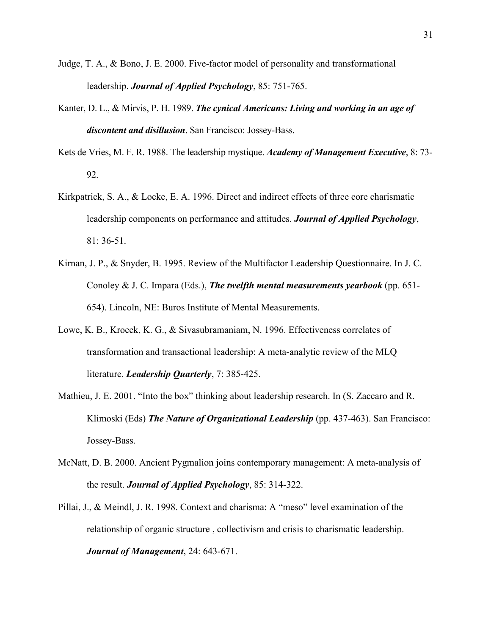- Judge, T. A., & Bono, J. E. 2000. Five-factor model of personality and transformational leadership. *Journal of Applied Psychology*, 85: 751-765.
- Kanter, D. L., & Mirvis, P. H. 1989. *The cynical Americans: Living and working in an age of discontent and disillusion*. San Francisco: Jossey-Bass.
- Kets de Vries, M. F. R. 1988. The leadership mystique. *Academy of Management Executive*, 8: 73- 92.
- Kirkpatrick, S. A., & Locke, E. A. 1996. Direct and indirect effects of three core charismatic leadership components on performance and attitudes. *Journal of Applied Psychology*, 81: 36-51.
- Kirnan, J. P., & Snyder, B. 1995. Review of the Multifactor Leadership Questionnaire. In J. C. Conoley & J. C. Impara (Eds.), *The twelfth mental measurements yearbook* (pp. 651- 654). Lincoln, NE: Buros Institute of Mental Measurements.
- Lowe, K. B., Kroeck, K. G., & Sivasubramaniam, N. 1996. Effectiveness correlates of transformation and transactional leadership: A meta-analytic review of the MLQ literature. *Leadership Quarterly*, 7: 385-425.
- Mathieu, J. E. 2001. "Into the box" thinking about leadership research. In (S. Zaccaro and R. Klimoski (Eds) *The Nature of Organizational Leadership* (pp. 437-463). San Francisco: Jossey-Bass.
- McNatt, D. B. 2000. Ancient Pygmalion joins contemporary management: A meta-analysis of the result. *Journal of Applied Psychology*, 85: 314-322.
- Pillai, J., & Meindl, J. R. 1998. Context and charisma: A "meso" level examination of the relationship of organic structure , collectivism and crisis to charismatic leadership. *Journal of Management*, 24: 643-671.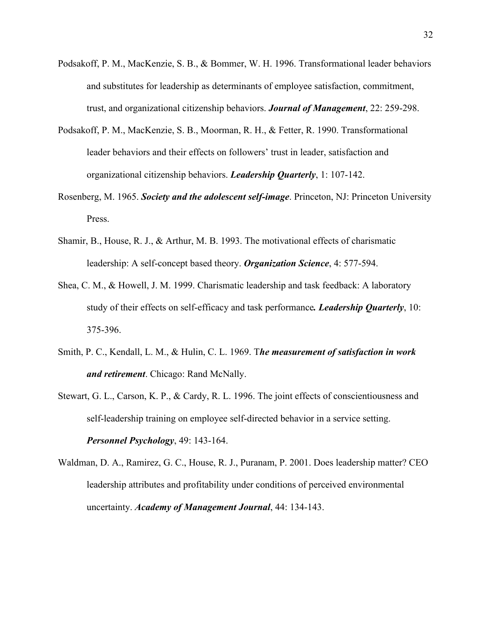- Podsakoff, P. M., MacKenzie, S. B., & Bommer, W. H. 1996. Transformational leader behaviors and substitutes for leadership as determinants of employee satisfaction, commitment, trust, and organizational citizenship behaviors. *Journal of Management*, 22: 259-298.
- Podsakoff, P. M., MacKenzie, S. B., Moorman, R. H., & Fetter, R. 1990. Transformational leader behaviors and their effects on followers' trust in leader, satisfaction and organizational citizenship behaviors. *Leadership Quarterly*, 1: 107-142.
- Rosenberg, M. 1965. *Society and the adolescent self-image*. Princeton, NJ: Princeton University Press.
- Shamir, B., House, R. J., & Arthur, M. B. 1993. The motivational effects of charismatic leadership: A self-concept based theory. *Organization Science*, 4: 577-594.
- Shea, C. M., & Howell, J. M. 1999. Charismatic leadership and task feedback: A laboratory study of their effects on self-efficacy and task performance*. Leadership Quarterly*, 10: 375-396.
- Smith, P. C., Kendall, L. M., & Hulin, C. L. 1969. T*he measurement of satisfaction in work and retirement*. Chicago: Rand McNally.
- Stewart, G. L., Carson, K. P., & Cardy, R. L. 1996. The joint effects of conscientiousness and self-leadership training on employee self-directed behavior in a service setting. *Personnel Psychology*, 49: 143-164.
- Waldman, D. A., Ramirez, G. C., House, R. J., Puranam, P. 2001. Does leadership matter? CEO leadership attributes and profitability under conditions of perceived environmental uncertainty. *Academy of Management Journal*, 44: 134-143.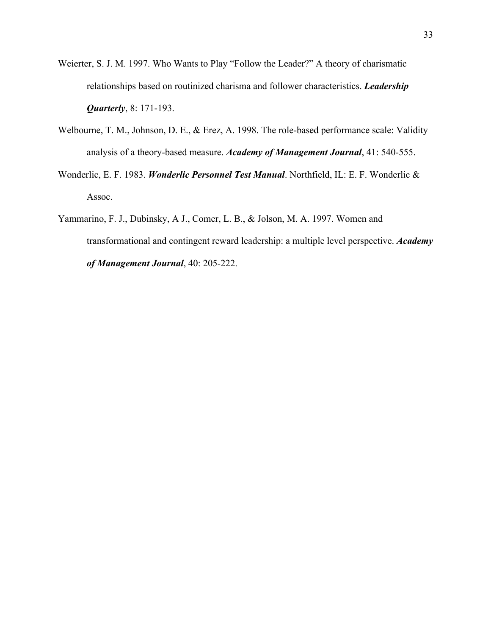- Weierter, S. J. M. 1997. Who Wants to Play "Follow the Leader?" A theory of charismatic relationships based on routinized charisma and follower characteristics. *Leadership Quarterly*, 8: 171-193.
- Welbourne, T. M., Johnson, D. E., & Erez, A. 1998. The role-based performance scale: Validity analysis of a theory-based measure. *Academy of Management Journal*, 41: 540-555.
- Wonderlic, E. F. 1983. *Wonderlic Personnel Test Manual*. Northfield, IL: E. F. Wonderlic & Assoc.
- Yammarino, F. J., Dubinsky, A J., Comer, L. B., & Jolson, M. A. 1997. Women and transformational and contingent reward leadership: a multiple level perspective. *Academy of Management Journal*, 40: 205-222.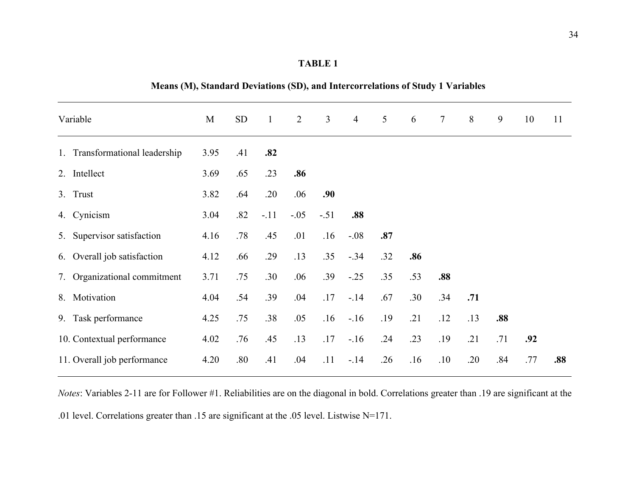**Means (M), Standard Deviations (SD), and Intercorrelations of Study 1 Variables**

| Variable                       | M    | <b>SD</b> | $\mathbf{1}$ | $\overline{2}$ | $\overline{3}$ | $\overline{4}$ | $5\overline{)}$ | 6   | $\tau$ | 8   | 9   | 10  | 11  |
|--------------------------------|------|-----------|--------------|----------------|----------------|----------------|-----------------|-----|--------|-----|-----|-----|-----|
| 1. Transformational leadership | 3.95 | .41       | .82          |                |                |                |                 |     |        |     |     |     |     |
| 2. Intellect                   | 3.69 | .65       | .23          | .86            |                |                |                 |     |        |     |     |     |     |
| 3. Trust                       | 3.82 | .64       | .20          | .06            | .90            |                |                 |     |        |     |     |     |     |
| 4. Cynicism                    | 3.04 | .82       | $-.11$       | $-.05$         | $-.51$         | .88            |                 |     |        |     |     |     |     |
| 5. Supervisor satisfaction     | 4.16 | .78       | .45          | .01            | .16            | $-.08$         | .87             |     |        |     |     |     |     |
| 6. Overall job satisfaction    | 4.12 | .66       | .29          | .13            | .35            | $-.34$         | .32             | .86 |        |     |     |     |     |
| 7. Organizational commitment   | 3.71 | .75       | .30          | .06            | .39            | $-0.25$        | .35             | .53 | .88    |     |     |     |     |
| 8. Motivation                  | 4.04 | .54       | .39          | .04            | .17            | $-14$          | .67             | .30 | .34    | .71 |     |     |     |
| 9. Task performance            | 4.25 | .75       | .38          | .05            | .16            | $-16$          | .19             | .21 | .12    | .13 | .88 |     |     |
| 10. Contextual performance     | 4.02 | .76       | .45          | .13            | .17            | $-16$          | .24             | .23 | .19    | .21 | .71 | .92 |     |
| 11. Overall job performance    | 4.20 | .80       | .41          | .04            | .11            | $-14$          | .26             | .16 | .10    | .20 | .84 | .77 | .88 |

*Notes*: Variables 2-11 are for Follower #1. Reliabilities are on the diagonal in bold. Correlations greater than .19 are significant at the .01 level. Correlations greater than .15 are significant at the .05 level. Listwise N=171.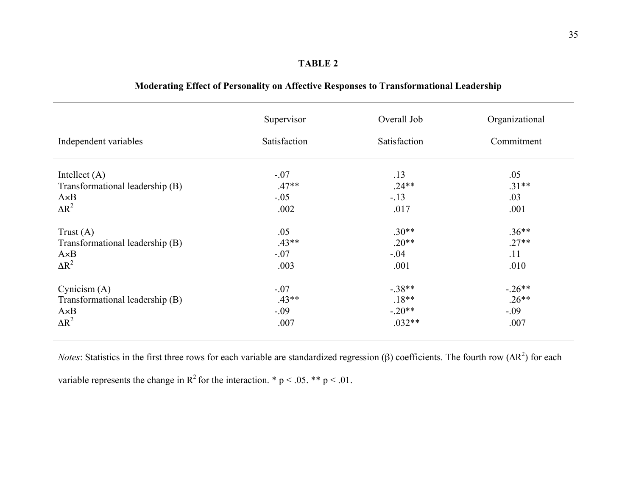| Independent variables           | Supervisor<br>Satisfaction | Overall Job<br>Satisfaction | Organizational<br>Commitment |
|---------------------------------|----------------------------|-----------------------------|------------------------------|
|                                 |                            |                             |                              |
| Intellect $(A)$                 | $-.07$                     | .13                         | .05                          |
| Transformational leadership (B) | $.47**$                    | $.24**$                     | $.31**$                      |
| $A \times B$                    | $-.05$                     | $-.13$                      | .03                          |
| $\Delta R^2$                    | .002                       | .017                        | .001                         |
|                                 |                            |                             |                              |
| Trust $(A)$                     | .05                        | $.30**$                     | $.36**$                      |
| Transformational leadership (B) | $.43**$                    | $.20**$                     | $.27**$                      |
| $A \times B$                    | $-.07$                     | $-.04$                      | .11                          |
| $\Delta R^2$                    | .003                       | .001                        | .010                         |
| Cynicism $(A)$                  | $-.07$                     | $-.38**$                    | $-.26**$                     |
| Transformational leadership (B) | $.43**$                    | $.18**$                     | $.26**$                      |
| $A \times B$                    | $-.09$                     | $-.20**$                    | $-.09$                       |
| $\Delta R^2$                    | .007                       | $.032**$                    | .007                         |

# **Moderating Effect of Personality on Affective Responses to Transformational Leadership**

*Notes*: Statistics in the first three rows for each variable are standardized regression ( $\beta$ ) coefficients. The fourth row ( $\Delta R^2$ ) for each variable represents the change in  $R^2$  for the interaction. \* p < .05. \*\* p < .01.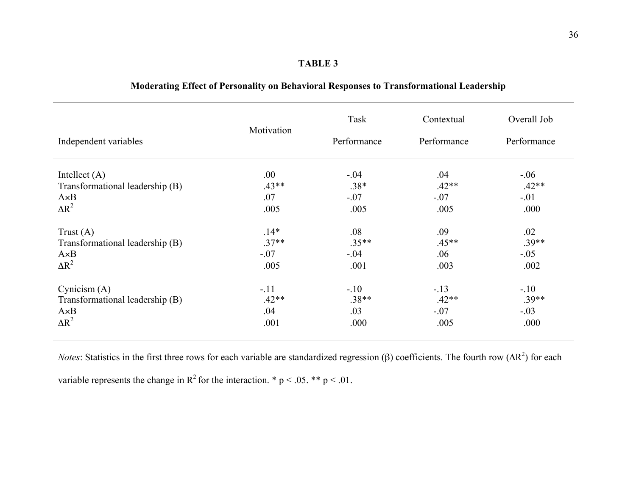| Independent variables           | Motivation | Task<br>Performance | Contextual<br>Performance | Overall Job<br>Performance |
|---------------------------------|------------|---------------------|---------------------------|----------------------------|
| Intellect $(A)$                 | .00.       | $-.04$              | .04                       | $-0.06$                    |
| Transformational leadership (B) | $.43**$    | $.38*$              | $.42**$                   | $.42**$                    |
| $A \times B$                    | .07        | $-.07$              | $-.07$                    | $-.01$                     |
| $\Delta R^2$                    | .005       | .005                | .005                      | .000                       |
| Trust $(A)$                     | $.14*$     | .08                 | .09                       | .02                        |
| Transformational leadership (B) | $.37**$    | $.35**$             | $.45**$                   | $.39**$                    |
| $A \times B$                    | $-.07$     | $-.04$              | .06                       | $-.05$                     |
| $\Delta R^2$                    | .005       | .001                | .003                      | .002                       |
| Cynicism $(A)$                  | $-.11$     | $-.10$              | $-.13$                    | $-.10$                     |
| Transformational leadership (B) | $.42**$    | $.38**$             | $.42**$                   | $.39**$                    |
| $A \times B$                    | .04        | .03                 | $-.07$                    | $-.03$                     |
| $\Delta R^2$                    | .001       | .000                | .005                      | .000                       |

# **Moderating Effect of Personality on Behavioral Responses to Transformational Leadership**

*Notes*: Statistics in the first three rows for each variable are standardized regression ( $\beta$ ) coefficients. The fourth row ( $\Delta R^2$ ) for each variable represents the change in  $R^2$  for the interaction. \* p < .05. \*\* p < .01.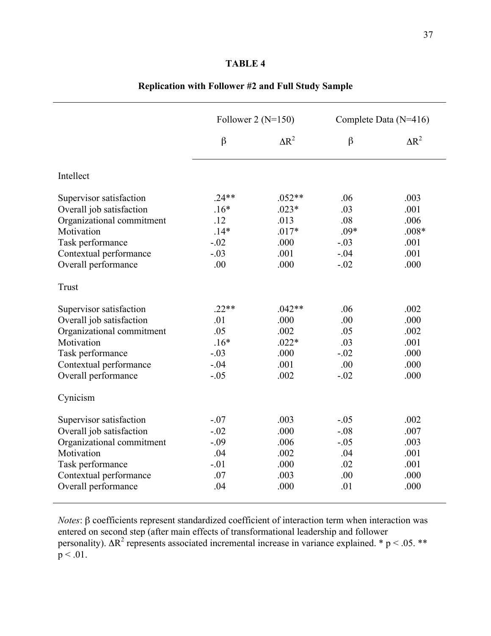|                           | Follower 2 ( $N=150$ ) |              |         | Complete Data (N=416) |
|---------------------------|------------------------|--------------|---------|-----------------------|
|                           | $\beta$                | $\Delta R^2$ | $\beta$ | $\Delta R^2$          |
| Intellect                 |                        |              |         |                       |
| Supervisor satisfaction   | $.24**$                | $.052**$     | .06     | .003                  |
| Overall job satisfaction  | $.16*$                 | $.023*$      | .03     | .001                  |
| Organizational commitment | .12                    | .013         | .08     | .006                  |
| Motivation                | $.14*$                 | $.017*$      | $.09*$  | $.008*$               |
| Task performance          | $-.02$                 | .000         | $-.03$  | .001                  |
| Contextual performance    | $-.03$                 | .001         | $-.04$  | .001                  |
| Overall performance       | .00                    | .000         | $-.02$  | .000                  |
| Trust                     |                        |              |         |                       |
| Supervisor satisfaction   | $.22**$                | $.042**$     | .06     | .002                  |
| Overall job satisfaction  | .01                    | .000         | .00     | .000                  |
| Organizational commitment | .05                    | .002         | .05     | .002                  |
| Motivation                | $.16*$                 | $.022*$      | .03     | .001                  |
| Task performance          | $-.03$                 | .000         | $-.02$  | .000                  |
| Contextual performance    | $-.04$                 | .001         | .00     | .000                  |
| Overall performance       | $-.05$                 | .002         | $-.02$  | .000                  |
| Cynicism                  |                        |              |         |                       |
| Supervisor satisfaction   | $-.07$                 | .003         | $-.05$  | .002                  |
| Overall job satisfaction  | $-.02$                 | .000         | $-.08$  | .007                  |
| Organizational commitment | $-.09$                 | .006         | $-.05$  | .003                  |
| Motivation                | .04                    | .002         | .04     | .001                  |
| Task performance          | $-.01$                 | .000         | .02     | .001                  |
| Contextual performance    | .07                    | .003         | .00     | .000                  |
| Overall performance       | .04                    | .000         | .01     | .000                  |

# **Replication with Follower #2 and Full Study Sample**

 $$ entered on second step (after main effects of transformational leadership and follower personality).  $\Delta R^2$  represents associated incremental increase in variance explained. \* p < .05. \*\*  $p < .01$ .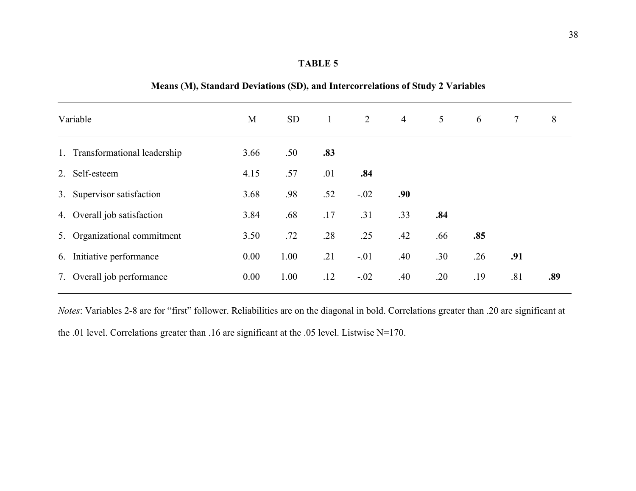| Variable |                                | M    | <b>SD</b> | $\mathbf{1}$ | 2      | $\overline{4}$ | $5\overline{)}$ | 6   | $7\phantom{.0}$ | 8   |
|----------|--------------------------------|------|-----------|--------------|--------|----------------|-----------------|-----|-----------------|-----|
|          | 1. Transformational leadership | 3.66 | .50       | .83          |        |                |                 |     |                 |     |
|          | 2. Self-esteem                 | 4.15 | .57       | .01          | .84    |                |                 |     |                 |     |
|          | 3. Supervisor satisfaction     | 3.68 | .98       | .52          | $-.02$ | .90            |                 |     |                 |     |
|          | 4. Overall job satisfaction    | 3.84 | .68       | .17          | .31    | .33            | .84             |     |                 |     |
|          | 5. Organizational commitment   | 3.50 | .72       | .28          | .25    | .42            | .66             | .85 |                 |     |
|          | 6. Initiative performance      | 0.00 | 1.00      | .21          | $-.01$ | .40            | .30             | .26 | .91             |     |
|          | 7. Overall job performance     | 0.00 | 1.00      | .12          | $-.02$ | .40            | .20             | .19 | .81             | .89 |

# **Means (M), Standard Deviations (SD), and Intercorrelations of Study 2 Variables**

*Notes*: Variables 2-8 are for "first" follower. Reliabilities are on the diagonal in bold. Correlations greater than .20 are significant at the .01 level. Correlations greater than .16 are significant at the .05 level. Listwise N=170.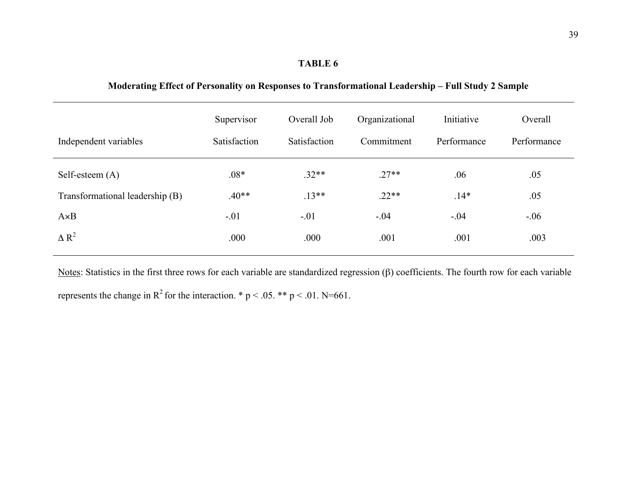**Moderating Effect of Personality on Responses to Transformational Leadership – Full Study 2 Sample**

| Independent variables           | Supervisor<br>Satisfaction | Overall Job<br>Satisfaction | Organizational<br>Commitment | Initiative<br>Performance | Overall<br>Performance |
|---------------------------------|----------------------------|-----------------------------|------------------------------|---------------------------|------------------------|
| Self-esteem (A)                 | $.08*$                     | $.32**$                     | $.27**$                      | .06                       | .05                    |
| Transformational leadership (B) | $.40**$                    | $.13**$                     | $.22**$                      | $.14*$                    | .05                    |
| $A \times B$                    | $-.01$                     | $-.01$                      | $-.04$                       | $-.04$                    | $-.06$                 |
| $\Delta R^2$                    | .000                       | .000                        | .001                         | .001                      | .003                   |

Notes: Statistics in the first three rows for each variable are standardized regression  $(\beta)$  coefficients. The fourth row for each variable represents the change in  $R^2$  for the interaction. \* p < .05. \*\* p < .01. N=661.